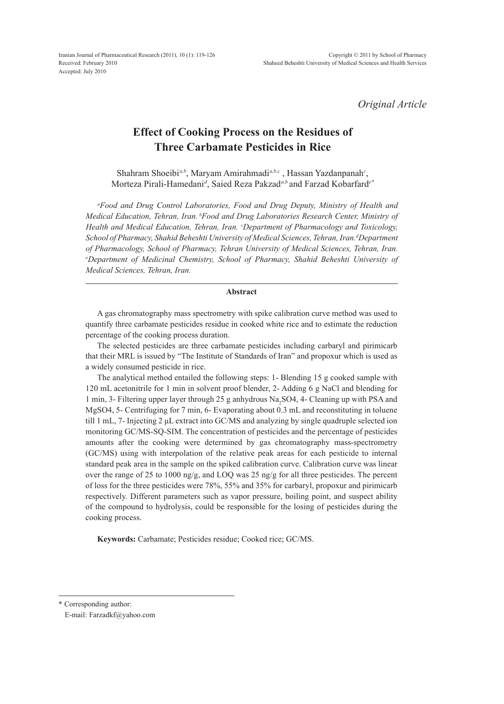*Original Article*

## **Effect of Cooking Process on the Residues of Three Carbamate Pesticides in Rice**

Shahram Shoeibi*a,b*, Maryam Amirahmadi*a,b,c* , Hassan Yazdanpanah*<sup>c</sup>* , Morteza Pirali-Hamedani*<sup>d</sup>* , Saied Reza Pakzad*a,b* and Farzad Kobarfard*e\**

*a Food and Drug Control Laboratories, Food and Drug Deputy, Ministry of Health and Medical Education, Tehran, Iran. <sup>b</sup> Food and Drug Laboratories Research Center, Ministry of Health and Medical Education, Tehran, Iran. <sup>c</sup> Department of Pharmacology and Toxicology,*   $S$ chool of Pharmacy, Shahid Beheshti University of Medical Sciences, Tehran, Iran.<sup>d</sup>Department of Pharmacology, School of Pharmacy, Tehran University of Medical Sciences, Tehran, Iran. *Department of Medicinal Chemistry, School of Pharmacy, Shahid Beheshti University of Medical Sciences, Tehran, Iran.*

## **Abstract**

A gas chromatography mass spectrometry with spike calibration curve method was used to quantify three carbamate pesticides residue in cooked white rice and to estimate the reduction percentage of the cooking process duration.

The selected pesticides are three carbamate pesticides including carbaryl and pirimicarb that their MRL is issued by "The Institute of Standards of Iran" and propoxur which is used as a widely consumed pesticide in rice.

The analytical method entailed the following steps: 1- Blending 15 g cooked sample with 120 mL acetonitrile for 1 min in solvent proof blender, 2- Adding 6 g NaCl and blending for 1 min, 3- Filtering upper layer through 25 g anhydrous  $Na<sub>2</sub>SO4$ , 4- Cleaning up with PSA and MgSO4, 5- Centrifuging for 7 min, 6- Evaporating about 0.3 mL and reconstituting in toluene till 1 mL, 7- Injecting 2 μL extract into GC/MS and analyzing by single quadruple selected ion monitoring GC/MS-SQ-SIM. The concentration of pesticides and the percentage of pesticides amounts after the cooking were determined by gas chromatography mass-spectrometry (GC/MS) using with interpolation of the relative peak areas for each pesticide to internal standard peak area in the sample on the spiked calibration curve. Calibration curve was linear over the range of 25 to 1000 ng/g, and LOQ was 25 ng/g for all three pesticides. The percent of loss for the three pesticides were 78%, 55% and 35% for carbaryl, propoxur and pirimicarb respectively. Different parameters such as vapor pressure, boiling point, and suspect ability of the compound to hydrolysis, could be responsible for the losing of pesticides during the cooking process.

**Keywords:** Carbamate; Pesticides residue; Cooked rice; GC/MS.

\* Corresponding author:

E-mail: Farzadkf@yahoo.com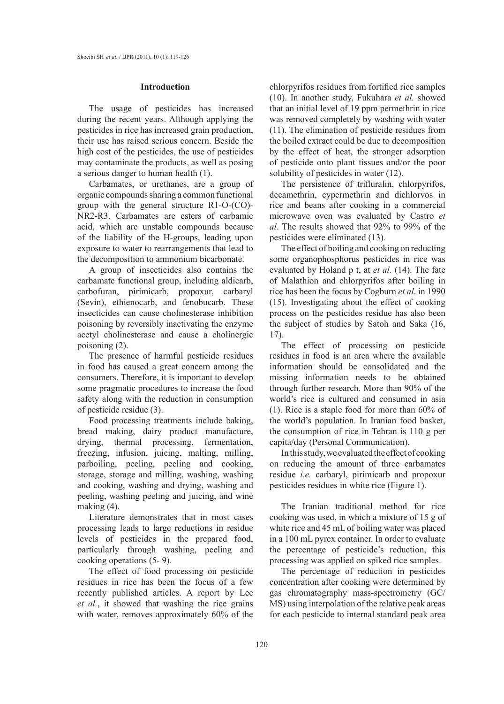#### **Introduction**

The usage of pesticides has increased during the recent years. Although applying the pesticides in rice has increased grain production, their use has raised serious concern. Beside the high cost of the pesticides, the use of pesticides may contaminate the products, as well as posing a serious danger to human health (1).

Carbamates, or urethanes, are a group of organic compounds sharing a common functional group with the general structure R1-O-(CO)- NR2-R3. Carbamates are esters of carbamic acid, which are unstable compounds because of the liability of the H-groups, leading upon exposure to water to rearrangements that lead to the decomposition to ammonium bicarbonate.

A group of insecticides also contains the carbamate functional group, including aldicarb, carbofuran, pirimicarb, propoxur, carbaryl (Sevin), ethienocarb, and fenobucarb. These insecticides can cause cholinesterase inhibition poisoning by reversibly inactivating the enzyme acetyl cholinesterase and cause a cholinergic poisoning (2).

The presence of harmful pesticide residues in food has caused a great concern among the consumers. Therefore, it is important to develop some pragmatic procedures to increase the food safety along with the reduction in consumption of pesticide residue (3).

Food processing treatments include baking, bread making, dairy product manufacture, drying, thermal processing, fermentation, freezing, infusion, juicing, malting, milling, parboiling, peeling, peeling and cooking, storage, storage and milling, washing, washing and cooking, washing and drying, washing and peeling, washing peeling and juicing, and wine making (4).

Literature demonstrates that in most cases processing leads to large reductions in residue levels of pesticides in the prepared food, particularly through washing, peeling and cooking operations (5- 9).

The effect of food processing on pesticide residues in rice has been the focus of a few recently published articles. A report by Lee *et al.*, it showed that washing the rice grains with water, removes approximately 60% of the chlorpyrifos residues from fortified rice samples (10). In another study, Fukuhara *et al.* showed that an initial level of 19 ppm permethrin in rice was removed completely by washing with water (11). The elimination of pesticide residues from the boiled extract could be due to decomposition by the effect of heat, the stronger adsorption of pesticide onto plant tissues and/or the poor solubility of pesticides in water (12).

The persistence of trifluralin, chlorpyrifos, decamethrin, cypermethrin and dichlorvos in rice and beans after cooking in a commercial microwave oven was evaluated by Castro *et al*. The results showed that 92% to 99% of the pesticides were eliminated (13).

The effect of boiling and cooking on reducting some organophosphorus pesticides in rice was evaluated by Holand p t, at *et al.* (14). The fate of Malathion and chlorpyrifos after boiling in rice has been the focus by Cogburn *et al*. in 1990 (15). Investigating about the effect of cooking process on the pesticides residue has also been the subject of studies by Satoh and Saka (16, 17).

The effect of processing on pesticide residues in food is an area where the available information should be consolidated and the missing information needs to be obtained through further research. More than 90% of the world's rice is cultured and consumed in asia (1). Rice is a staple food for more than 60% of the world's population. In Iranian food basket, the consumption of rice in Tehran is 110 g per capita/day (Personal Communication).

In this study, we evaluated the effect of cooking on reducing the amount of three carbamates residue *i.e.* carbaryl, pirimicarb and propoxur pesticides residues in white rice (Figure 1).

The Iranian traditional method for rice cooking was used, in which a mixture of 15 g of white rice and 45 mL of boiling water was placed in a 100 mL pyrex container. In order to evaluate the percentage of pesticide's reduction, this processing was applied on spiked rice samples.

The percentage of reduction in pesticides concentration after cooking were determined by gas chromatography mass-spectrometry (GC/ MS) using interpolation of the relative peak areas for each pesticide to internal standard peak area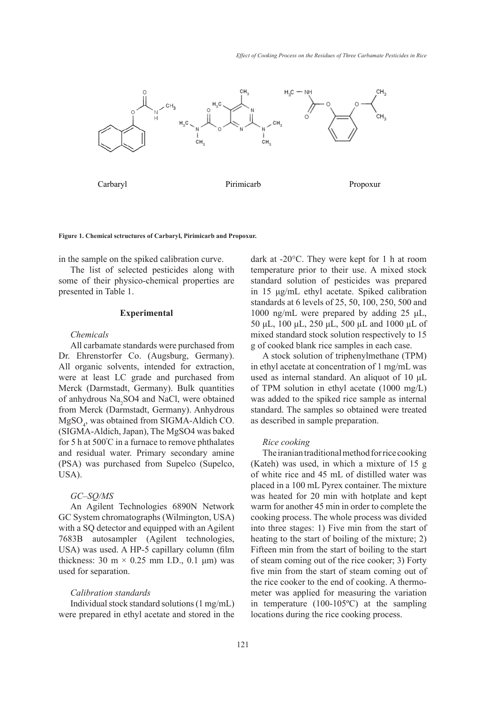

#### **Figure 1. Chemical sctructures of Carbaryl, Pirimicarb and Propoxur.**

in the sample on the spiked calibration curve.

The list of selected pesticides along with some of their physico-chemical properties are standard solution of pesticides was pre presented in Table 1.

## **Experimental**

#### *Chemicals*

All carbamate standards were purchased from Dr. Ehrenstorfer Co. (Augsburg, Germany). All organic solvents, intended for extraction, were at least LC grade and purchased from Merck (Darmstadt, Germany). Bulk quantities of anhydrous Na<sub>2</sub>SO4 and NaCl, were obtained from Merck (Darmstadt, Germany). Anhydrous MgSO4 , was obtained from SIGMA-Aldich CO. (SIGMA-Aldich, Japan), The MgSO4 was baked for 5 h at 500º C in a furnace to remove phthalates and residual water. Primary secondary amine (PSA) was purchased from Supelco (Supelco, USA).

## *GC–SQ/MS*

An Agilent Technologies 6890N Network GC System chromatographs (Wilmington, USA) with a SQ detector and equipped with an Agilent 7683B autosampler (Agilent technologies, USA) was used. A HP-5 capillary column (film thickness: 30 m  $\times$  0.25 mm I.D., 0.1  $\mu$ m) was used for separation.

#### *Calibration standards*

Individual stock standard solutions (1 mg/mL) were prepared in ethyl acetate and stored in the

dark at -20°C. They were kept for 1 h at room The Iranian traditional method for the Iranian traditional method is the Iranian traditional method for rice cooking stock and the Iranian traditional method for rice cooking the Iranian traditional method is the Iranian o standard solution of pesticides was prepared in 15 μg/mL ethyl acetate. Spiked calibration standards at 6 levels of 25, 50, 100, 250, 500 and 1000 ng/mL were prepared by adding 25 μL, 50 μL, 100 μL, 250 μL, 500 μL and 1000 μL of mixed standard stock solution respectively to 15 g of cooked blank rice samples in each case.

> A stock solution of triphenylmethane (TPM) in ethyl acetate at concentration of 1 mg/mL was used as internal standard. An aliquot of 10 μL of TPM solution in ethyl acetate (1000 mg/L) was added to the spiked rice sample as internal standard. The samples so obtained were treated as described in sample preparation.

#### *Rice cooking*

The iranian traditional method for rice cooking (Kateh) was used, in which a mixture of 15 g of white rice and 45 mL of distilled water was placed in a 100 mL Pyrex container. The mixture was heated for 20 min with hotplate and kept warm for another 45 min in order to complete the cooking process. The whole process was divided into three stages: 1) Five min from the start of heating to the start of boiling of the mixture; 2) Fifteen min from the start of boiling to the start of steam coming out of the rice cooker; 3) Forty five min from the start of steam coming out of the rice cooker to the end of cooking. A thermometer was applied for measuring the variation in temperature (100-105ºC) at the sampling locations during the rice cooking process.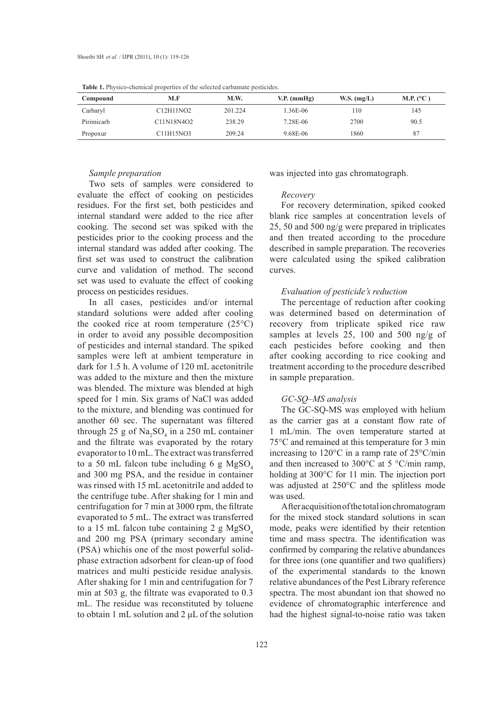| Compound   | M.F        | M.W.    | $V.P.$ (mmHg) | W.S. $(mg/L)$ | M.P. $(^{\circ}C)$ |
|------------|------------|---------|---------------|---------------|--------------------|
| Carbaryl   | C12H11NO2  | 201.224 | 1.36E-06      | 110           | 145                |
| Pirimicarb | C11N18N4O2 | 238.29  | 7.28E-06      | 2700          | 90.5               |
| Propoxur   | C11H15NO3  | 209.24  | 9.68E-06      | 1860          | 87                 |

**Table 1.** Physico-chemical properties of the selected carbamate pesticides.

#### *Sample preparation*

Two sets of samples were considered to evaluate the effect of cooking on pesticides residues. For the first set, both pesticides and internal standard were added to the rice after cooking. The second set was spiked with the pesticides prior to the cooking process and the internal standard was added after cooking. The first set was used to construct the calibration curve and validation of method. The second set was used to evaluate the effect of cooking process on pesticides residues.

In all cases, pesticides and/or internal standard solutions were added after cooling the cooked rice at room temperature  $(25^{\circ}C)$ in order to avoid any possible decomposition of pesticides and internal standard. The spiked samples were left at ambient temperature in dark for 1.5 h. A volume of 120 mL acetonitrile was added to the mixture and then the mixture was blended. The mixture was blended at high speed for 1 min. Six grams of NaCl was added to the mixture, and blending was continued for another 60 sec. The supernatant was filtered through 25 g of  $\text{Na}_2\text{SO}_4$  in a 250 mL container and the filtrate was evaporated by the rotary evaporator to 10 mL. The extract was transferred to a 50 mL falcon tube including 6 g  $MgSO<sub>4</sub>$ and 300 mg PSA, and the residue in container was rinsed with 15 mL acetonitrile and added to the centrifuge tube. After shaking for 1 min and centrifugation for 7 min at 3000 rpm, the filtrate evaporated to 5 mL. The extract was transferred to a 15 mL falcon tube containing 2 g  $MgSO<sub>4</sub>$ and 200 mg PSA (primary secondary amine (PSA) whichis one of the most powerful solidphase extraction adsorbent for clean-up of food matrices and multi pesticide residue analysis. After shaking for 1 min and centrifugation for 7 min at 503 g, the filtrate was evaporated to 0.3 mL. The residue was reconstituted by toluene to obtain 1 mL solution and 2 μL of the solution was injected into gas chromatograph.

#### *Recovery*

For recovery determination, spiked cooked blank rice samples at concentration levels of 25, 50 and 500 ng/g were prepared in triplicates and then treated according to the procedure described in sample preparation. The recoveries were calculated using the spiked calibration curves.

## *Evaluation of pesticide's reduction*

The percentage of reduction after cooking was determined based on determination of recovery from triplicate spiked rice raw samples at levels 25, 100 and 500 ng/g of each pesticides before cooking and then after cooking according to rice cooking and treatment according to the procedure described in sample preparation.

## *GC-SQ–MS analysis*

The GC-SQ-MS was employed with helium as the carrier gas at a constant flow rate of 1 mL/min. The oven temperature started at 75°C and remained at this temperature for 3 min increasing to 120°C in a ramp rate of 25°C/min and then increased to 300°C at 5 °C/min ramp, holding at 300°C for 11 min. The injection port was adjusted at 250°C and the splitless mode was used.

After acquisition of the total ion chromatogram for the mixed stock standard solutions in scan mode, peaks were identified by their retention time and mass spectra. The identification was confirmed by comparing the relative abundances for three ions (one quantifier and two qualifiers) of the experimental standards to the known relative abundances of the Pest Library reference spectra. The most abundant ion that showed no evidence of chromatographic interference and had the highest signal-to-noise ratio was taken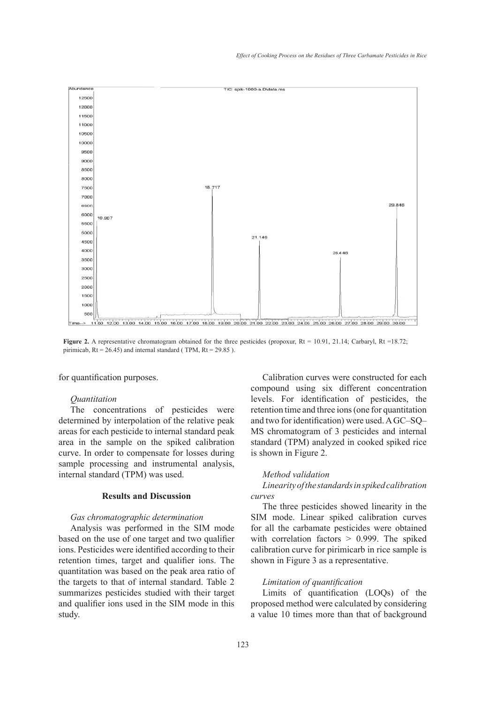

pirimicab, Rt = 26.45) and internal standard ( TPM, Rt = 29.85 ). **Figure 2.** A representative chromatogram obtained for the three pesticides (propoxur, Rt = 10.91, 21.14; Carbaryl, Rt =18.72;

for quantification purposes.  $\mathcal{L}_{\mathcal{L}}$  =  $\mathcal{L}_{\mathcal{L}}$ ; pirimically and internal standard (  $\mathcal{L}_{\mathcal{L}}$ 

## *Quantitation*

The concentrations of pesticides were determined by interpolation of the relative peak areas for each pesticide to internal standard peak area in the sample on the spiked calibration curve. In order to compensate for losses during sample processing and instrumental analysis, internal standard (TPM) was used.

## **Results and Discussion**

#### *Gas chromatographic determination*

Analysis was performed in the SIM mode based on the use of one target and two qualifier ions. Pesticides were identified according to their retention times, target and qualifier ions. The quantitation was based on the peak area ratio of the targets to that of internal standard. Table 2 summarizes pesticides studied with their target and qualifier ions used in the SIM mode in this study.

Calibration curves were constructed for each compound using six different concentration levels. For identification of pesticides, the retention time and three ions (one for quantitation and two for identification) were used. A GC–SQ– MS chromatogram of 3 pesticides and internal standard (TPM) analyzed in cooked spiked rice is shown in Figure 2.

#### *Method validation*

## *Linearity of the standards in spiked calibration curves*

The three pesticides showed linearity in the SIM mode. Linear spiked calibration curves for all the carbamate pesticides were obtained with correlation factors > 0.999. The spiked calibration curve for pirimicarb in rice sample is shown in Figure 3 as a representative.

## *Limitation of quantification*

Limits of quantification (LOQs) of the proposed method were calculated by considering a value 10 times more than that of background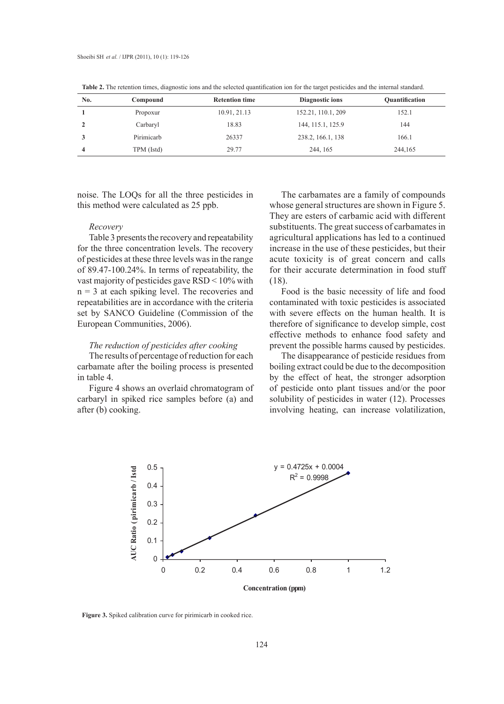| No. | Compound   | <b>Retention time</b> | Diagnostic ions    | Quantification |
|-----|------------|-----------------------|--------------------|----------------|
|     | Propoxur   | 10.91, 21.13          | 152.21, 110.1, 209 | 152.1          |
|     | Carbaryl   | 18.83                 | 144, 115.1, 125.9  | 144            |
|     | Pirimicarb | 26337                 | 238.2, 166.1, 138  | 166.1          |
| 4   | TPM (Istd) | 29.77                 | 244, 165           | 244,165        |

**Table 2.** The retention times, diagnostic ions and the selected quantification ion for the target pesticides and the internal standard.

noise. The LOQs for all the three pesticides in this method were calculated as 25 ppb.

#### *Recovery*

Table 3 presents the recovery and repeatability for the three concentration levels. The recovery of pesticides at these three levels was in the range of 89.47-100.24%. In terms of repeatability, the vast majority of pesticides gave RSD < 10% with  $n = 3$  at each spiking level. The recoveries and repeatabilities are in accordance with the criteria set by SANCO Guideline (Commission of the European Communities, 2006).

# *The reduction of pesticides after cooking Lineary of the system curves*

The results of percentage of reduction for each carbamate after the boiling process is presented in table 4.

Figure 4 shows an overlaid chromatogram of carbaryl in spiked rice samples before (a) and solubility of pesticides in water  $(12)$ . after (b) cooking.

The carbamates are a family of compounds whose general structures are shown in Figure 5. They are esters of carbamic acid with different substituents. The great success of carbamates in agricultural applications has led to a continued increase in the use of these pesticides, but their acute toxicity is of great concern and calls for their accurate determination in food stuff (18).

Food is the basic necessity of life and food contaminated with toxic pesticides is associated with severe effects on the human health. It is therefore of significance to develop simple, cost effective methods to enhance food safety and prevent the possible harms caused by pesticides. *Linearity of the standards in spiked calibration curves Linearity of the standards in spiked calibration curves* 

he results of percentage of reduction for each The disappearance of pesticide residues from Frequencies of percentage of reduction for each three usappearance of pesticide residues from mate after the boiling process is presented boiling extract could be due to the decomposition in table 4. The carba material with correlation by the effect of heat, the stronger adsorption in table 4. Figure 4 shows an overlaid chromatogram of of pesticide onto plant tissues and/or the poor in Figure 4 shows an overlaid chromatogram of solubility of pesticides in water (12). Processes involving heating, can increase volatilization,



**Figure 3.** Spiked calibration curve for pirimicarb in cooked rice. **Figure 3.** Spiked calibration curve for pirimicarb in cooked rice.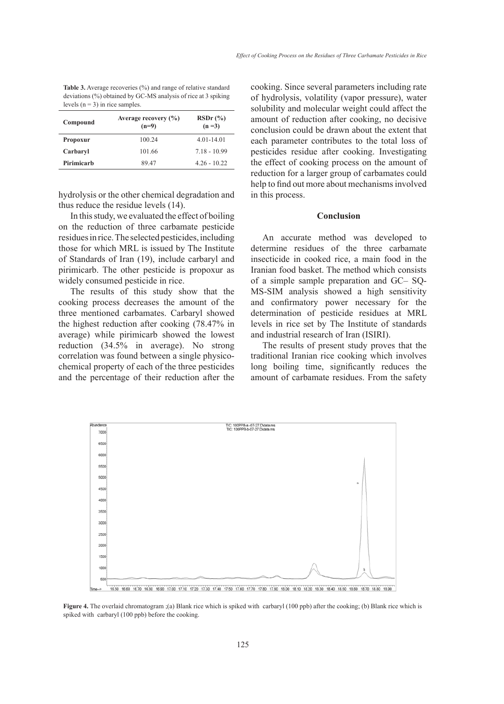**Table 3.** Average recoveries (%) and range of relative standard deviations (%) obtained by GC-MS analysis of rice at 3 spiking levels ( $n = 3$ ) in rice samples.

| Compound        | Average recovery $(\% )$<br>$(n=9)$ | $RSDr$ $\left(\frac{9}{6}\right)$<br>$(n=3)$ |  |
|-----------------|-------------------------------------|----------------------------------------------|--|
| <b>Propoxur</b> | 100.24                              | $4.01 - 14.01$                               |  |
| Carbaryl        | 101.66                              | $7.18 - 10.99$                               |  |
| Pirimicarh      | 89 47                               | $4.26 - 10.22$                               |  |
|                 |                                     |                                              |  |

hydrolysis or the other chemical degradation and thus reduce the residue levels (14).

In this study, we evaluated the effect of boiling on the reduction of three carbamate pesticide residues in rice. The selected pesticides, including those for which MRL is issued by The Institute of Standards of Iran (19), include carbaryl and pirimicarb. The other pesticide is propoxur as widely consumed pesticide in rice.

The results of this study show that the cooking process decreases the amount of the three mentioned carbamates. Carbaryl showed the highest reduction after cooking (78.47% in average) while pirimicarb showed the lowest reduction (34.5% in average). No strong correlation was found between a single physicochemical property of each of the three pesticides and the percentage of their reduction after the cooking. Since several parameters including rate of hydrolysis, volatility (vapor pressure), water solubility and molecular weight could affect the amount of reduction after cooking, no decisive conclusion could be drawn about the extent that each parameter contributes to the total loss of pesticides residue after cooking. Investigating the effect of cooking process on the amount of reduction for a larger group of carbamates could help to find out more about mechanisms involved in this process.

## **Conclusion**

An accurate method was developed to determine residues of the three carbamate insecticide in cooked rice, a main food in the Iranian food basket. The method which consists of a simple sample preparation and GC– SQ-MS-SIM analysis showed a high sensitivity and confirmatory power necessary for the determination of pesticide residues at MRL levels in rice set by The Institute of standards and industrial research of Iran (ISIRI).

The results of present study proves that the traditional Iranian rice cooking which involves long boiling time, significantly reduces the amount of carbamate residues. From the safety



**Figure 4.** The overlaid chromatogram ;(a) Blank rice which is spiked with carbaryl (100 ppb) after the spiked with carbaryl (100 ppb) before the cooking.**Figure 4.** The overlaid chromatogram :(a) Blank rice which is spiked with carbaryl (100 ppb) after the cooking; (b) Blank rice which is